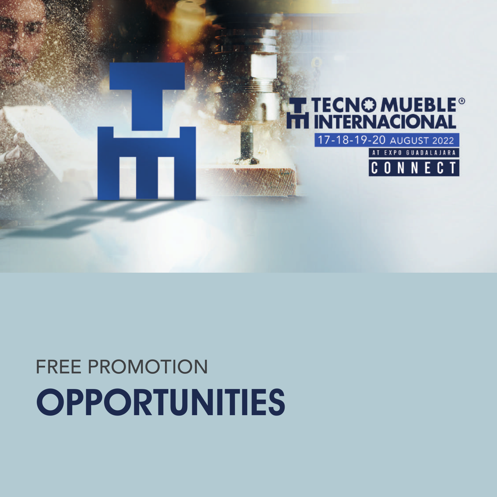## **OPPORTUNITIES** FREE PROMOTION

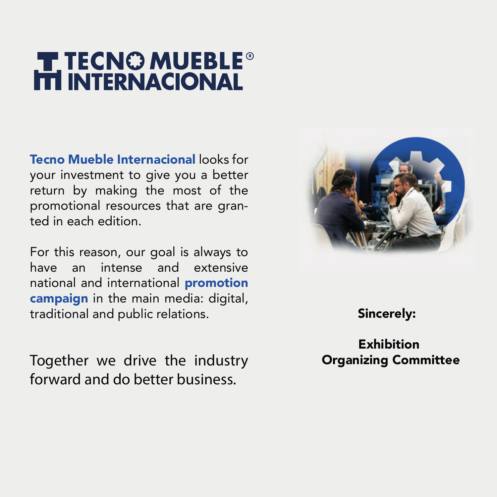## T TECNO MUEBLE<sup>®</sup> **ITI INTERNACIONAL**

Tecno Mueble Internacional looks for your investment to give you a better return by making the most of the promotional resources that are granted in each edition.

For this reason, our goal is always to have an intense and extensive national and international **promotion** campaign in the main media: digital, traditional and public relations. The state of the state of the state of the state of the state of the state o

Together we drive the industry forward and do better business.



Exhibition Organizing Committee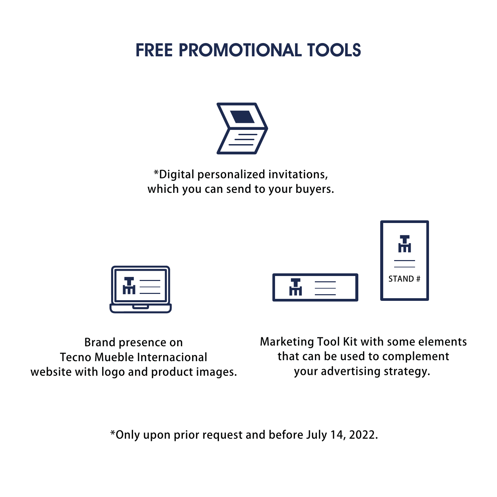### FREE PROMOTIONAL TOOLS



\*Digital personalized invitations, which you can send to your buyers.

|  | п             |
|--|---------------|
|  | <b>STAND#</b> |



Brand presence on Tecno Mueble Internacional website with logo and product images. Marketing Tool Kit with some elements that can be used to complement your advertising strategy.

\*Only upon prior request and before July 14, 2022.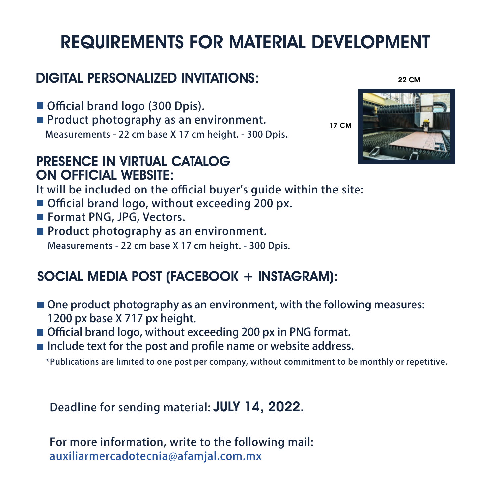### REQUIREMENTS FOR MATERIAL DEVELOPMENT

#### DIGITAL PERSONALIZED INVITATIONS:

- Official brand logo (300 Dpis).
- **Product photography as an environment.** Measurements - 22 cm base X 17 cm height. - 300 Dpis.

#### PRESENCE IN VIRTUAL CATALOG ON OFFICIAL WEBSITE:

It will be included on the official buyer's guide within the site:

- Official brand logo, without exceeding 200 px.
- **Format PNG, JPG, Vectors.**
- **Product photography as an environment.** Measurements - 22 cm base X 17 cm height. - 300 Dpis.

#### SOCIAL MEDIA POST (FACEBOOK + INSTAGRAM):

- One product photography as an environment, with the following measures: 1200 px base X 717 px height.
- Official brand logo, without exceeding 200 px in PNG format.
- $\blacksquare$  Include text for the post and profile name or website address.
	- \*Publications are limited to one post per company, without commitment to be monthly or repetitive.

Deadline for sending material: JULY 14, 2022.

For more information, write to the following mail: [auxiliarmercadotecnia@afamjal.com.mx](mailto:auxiliarmercadotecnia@afamjal.com.mx)

22 CM

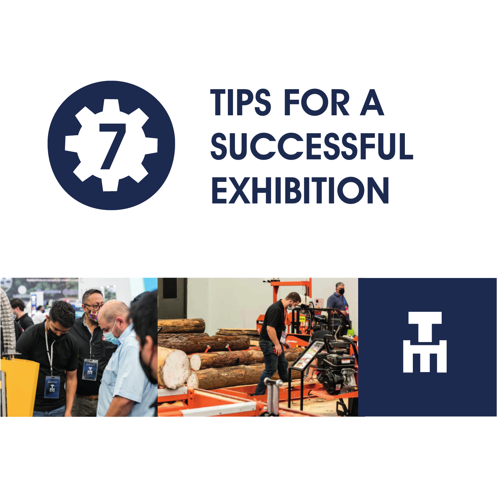

# TIPS FOR A SUCCESSFUL **EXHIBITION**

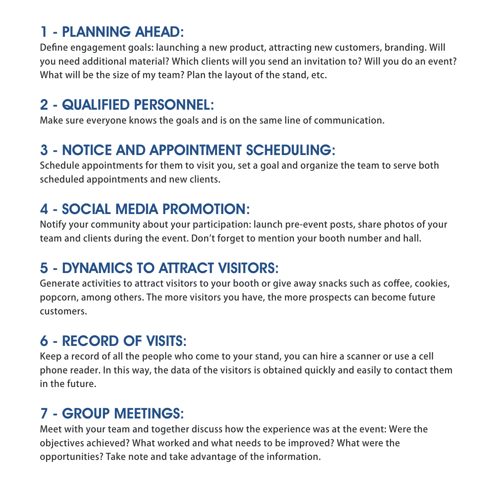#### 1 - PLANNING AHEAD:

Define engagement goals: launching a new product, attracting new customers, branding. Will you need additional material? Which clients will you send an invitation to? Will you do an event? What will be the size of my team? Plan the layout of the stand, etc.

#### 2 - QUALIFIED PERSONNEL:

Make sure everyone knows the goals and is on the same line of communication.

#### 3 - NOTICE AND APPOINTMENT SCHEDULING:

Schedule appointments for them to visit you, set a goal and organize the team to serve both scheduled appointments and new clients.

#### 4 - SOCIAL MEDIA PROMOTION:

Notify your community about your participation: launch pre-event posts, share photos of your team and clients during the event. Don't forget to mention your booth number and hall.

#### 5 - DYNAMICS TO ATTRACT VISITORS:

Generate activities to attract visitors to your booth or give away snacks such as coffee, cookies, popcorn, among others. The more visitors you have, the more prospects can become future customers.

#### 6 - RECORD OF VISITS:

Keep a record of all the people who come to your stand, you can hire a scanner or use a cell phone reader. In this way, the data of the visitors is obtained quickly and easily to contact them in the future.

#### 7 - GROUP MEETINGS:

Meet with your team and together discuss how the experience was at the event: Were the objectives achieved? What worked and what needs to be improved? What were the opportunities? Take note and take advantage of the information.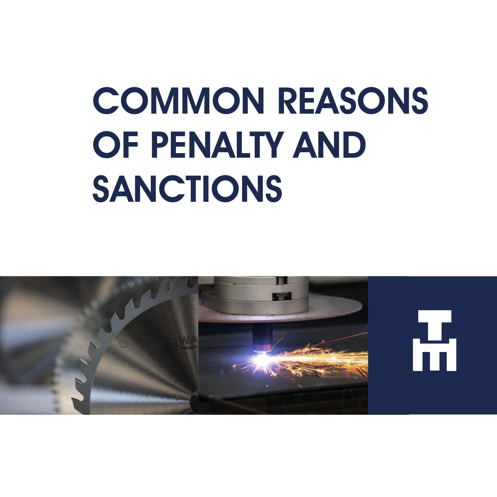## COMMON REASONS OF PENALTY AND SANCTIONS

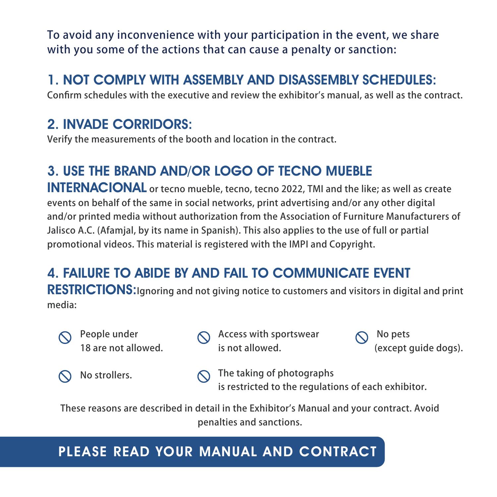To avoid any inconvenience with your participation in the event, we share with you some of the actions that can cause a penalty or sanction:

#### 1. NOT COMPLY WITH ASSEMBLY AND DISASSEMBLY SCHEDULES:

Confirm schedules with the executive and review the exhibitor's manual, as well as the contract.

#### 2. INVADE CORRIDORS:

Verify the measurements of the booth and location in the contract.

#### 3. USE THE BRAND AND/OR LOGO OF TECNO MUEBLE

INTERNACIONAL or tecno mueble, tecno, tecno 2022, TMI and the like; as well as create events on behalf of the same in social networks, print advertising and/or any other digital and/or printed media without authorization from the Association of Furniture Manufacturers of Jalisco A.C. (Afamjal, by its name in Spanish). This also applies to the use of full or partial promotional videos. This material is registered with the IMPI and Copyright.

#### 4. FAILURE TO ABIDE BY AND FAIL TO COMMUNICATE EVENT

RESTRICTIONS:Ignoring and not giving notice to customers and visitors in digital and print media:

- People under 18 are not allowed.
- $\bigcirc$  Access with sportswear is not allowed.

 No pets (except guide dogs).

- 
- No strollers.  $\bigcirc$  The taking of photographs is restricted to the regulations of each exhibitor.

These reasons are described in detail in the Exhibitor's Manual and your contract. Avoid penalties and sanctions.

#### PLEASE READ YOUR MANUAL AND CONTRACT